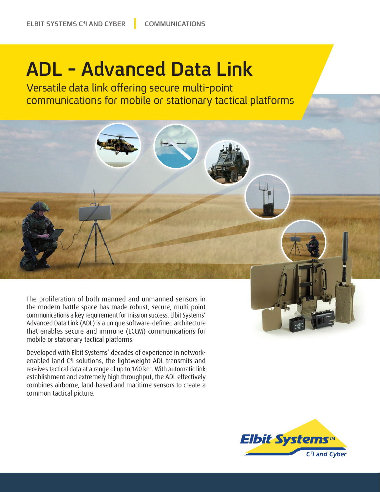## **ADL - Advanced Data Link**

Versatile data link offering secure multi-point communications for mobile or stationary tactical platforms



Developed with Elbit Systems' decades of experience in network-<br>enabled land C<sup>4</sup>I solutions, the lightweight ADL transmits and Developed with Elbit Systems' decades of experience in networkreceives tactical data at a range of up to 160 km. With automatic link establishment and extremely high throughput, the ADL effectively combines airborne, land-based and maritime sensors to create a common tactical picture.